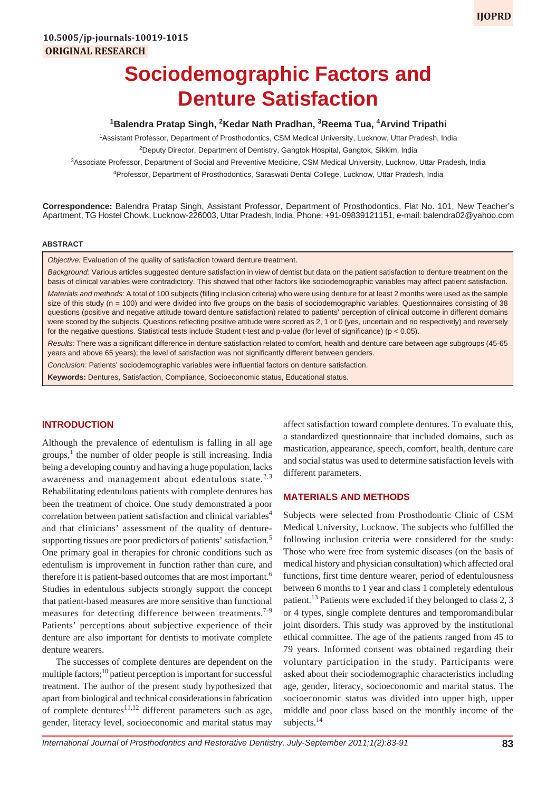# **Sociodemographic Factors and Denture Satisfaction**

## <sup>1</sup>Balendra Pratap Singh, <sup>2</sup>Kedar Nath Pradhan, <sup>3</sup>Reema Tua, <sup>4</sup>Arvind Tripathi

1 Assistant Professor, Department of Prosthodontics, CSM Medical University, Lucknow, Uttar Pradesh, India <sup>2</sup>Deputy Director, Department of Dentistry, Gangtok Hospital, Gangtok, Sikkim, India

3 Associate Professor, Department of Social and Preventive Medicine, CSM Medical University, Lucknow, Uttar Pradesh, India

4 Professor, Department of Prosthodontics, Saraswati Dental College, Lucknow, Uttar Pradesh, India

**Correspondence:** Balendra Pratap Singh, Assistant Professor, Department of Prosthodontics, Flat No. 101, New Teacher's Apartment, TG Hostel Chowk, Lucknow-226003, Uttar Pradesh, India, Phone: +91-09839121151, e-mail: balendra02@yahoo.com

#### **ABSTRACT**

*Objective:* Evaluation of the quality of satisfaction toward denture treatment.

*Background:* Various articles suggested denture satisfaction in view of dentist but data on the patient satisfaction to denture treatment on the basis of clinical variables were contradictory. This showed that other factors like sociodemographic variables may affect patient satisfaction. *Materials and methods:* A total of 100 subjects (filling inclusion criteria) who were using denture for at least 2 months were used as the sample size of this study (n = 100) and were divided into five groups on the basis of sociodemographic variables. Questionnaires consisting of 38 questions (positive and negative attitude toward denture satisfaction) related to patients' perception of clinical outcome in different domains were scored by the subjects. Questions reflecting positive attitude were scored as 2, 1 or 0 (yes, uncertain and no respectively) and reversely for the negative questions. Statistical tests include Student t-test and p-value (for level of significance) (p < 0.05).

*Results:* There was a significant difference in denture satisfaction related to comfort, health and denture care between age subgroups (45-65 years and above 65 years); the level of satisfaction was not significantly different between genders.

*Conclusion:* Patients' sociodemographic variables were influential factors on denture satisfaction.

**Keywords:** Dentures, Satisfaction, Compliance, Socioeconomic status, Educational status.

#### **INTRODUCTION**

Although the prevalence of edentulism is falling in all age groups,<sup>1</sup> the number of older people is still increasing. India being a developing country and having a huge population, lacks awareness and management about edentulous state. $2,3$ Rehabilitating edentulous patients with complete dentures has been the treatment of choice. One study demonstrated a poor correlation between patient satisfaction and clinical variables<sup>4</sup> and that clinicians' assessment of the quality of denturesupporting tissues are poor predictors of patients' satisfaction.<sup>5</sup> One primary goal in therapies for chronic conditions such as edentulism is improvement in function rather than cure, and therefore it is patient-based outcomes that are most important.<sup>6</sup> Studies in edentulous subjects strongly support the concept that patient-based measures are more sensitive than functional measures for detecting difference between treatments.<sup>7-9</sup> Patients' perceptions about subjective experience of their denture are also important for dentists to motivate complete denture wearers.

The successes of complete dentures are dependent on the multiple factors;<sup>10</sup> patient perception is important for successful treatment. The author of the present study hypothesized that apart from biological and technical considerations in fabrication of complete dentures<sup>11,12</sup> different parameters such as age, gender, literacy level, socioeconomic and marital status may

affect satisfaction toward complete dentures. To evaluate this, a standardized questionnaire that included domains, such as mastication, appearance, speech, comfort, health, denture care and social status was used to determine satisfaction levels with different parameters.

#### **MATERIALS AND METHODS**

Subjects were selected from Prosthodontic Clinic of CSM Medical University, Lucknow. The subjects who fulfilled the following inclusion criteria were considered for the study: Those who were free from systemic diseases (on the basis of medical history and physician consultation) which affected oral functions, first time denture wearer, period of edentulousness between 6 months to 1 year and class 1 completely edentulous patient.<sup>13</sup> Patients were excluded if they belonged to class 2, 3 or 4 types, single complete dentures and temporomandibular joint disorders. This study was approved by the institutional ethical committee. The age of the patients ranged from 45 to 79 years. Informed consent was obtained regarding their voluntary participation in the study. Participants were asked about their sociodemographic characteristics including age, gender, literacy, socioeconomic and marital status. The socioeconomic status was divided into upper high, upper middle and poor class based on the monthly income of the subjects.<sup>14</sup>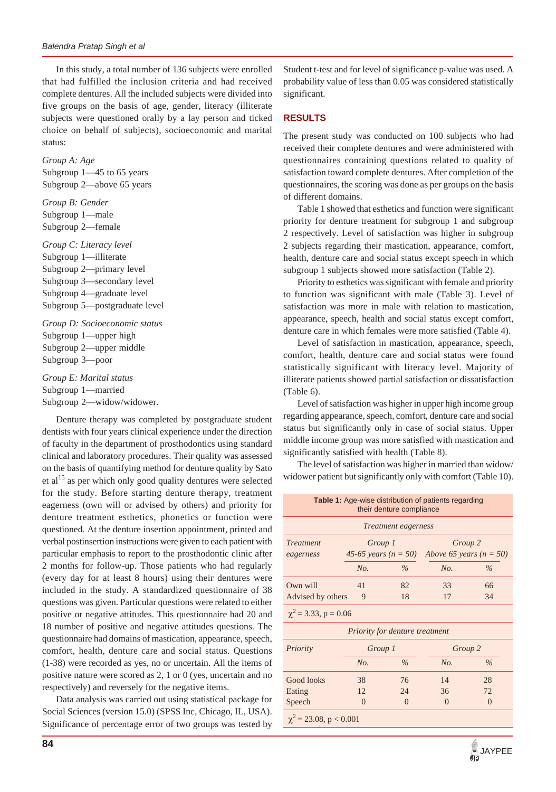In this study, a total number of 136 subjects were enrolled that had fulfilled the inclusion criteria and had received complete dentures. All the included subjects were divided into five groups on the basis of age, gender, literacy (illiterate subjects were questioned orally by a lay person and ticked choice on behalf of subjects), socioeconomic and marital status:

*Group A: Age* Subgroup 1—45 to 65 years Subgroup 2—above 65 years

*Group B: Gender* Subgroup 1—male Subgroup 2—female

*Group C: Literacy level* Subgroup 1—illiterate Subgroup 2—primary level Subgroup 3—secondary level Subgroup 4—graduate level Subgroup 5—postgraduate level

*Group D: Socioeconomic status* Subgroup 1—upper high Subgroup 2—upper middle Subgroup 3—poor

*Group E: Marital status* Subgroup 1—married Subgroup 2—widow/widower.

Denture therapy was completed by postgraduate student dentists with four years clinical experience under the direction of faculty in the department of prosthodontics using standard clinical and laboratory procedures. Their quality was assessed on the basis of quantifying method for denture quality by Sato et al<sup>15</sup> as per which only good quality dentures were selected for the study. Before starting denture therapy, treatment eagerness (own will or advised by others) and priority for denture treatment esthetics, phonetics or function were questioned. At the denture insertion appointment, printed and verbal postinsertion instructions were given to each patient with particular emphasis to report to the prosthodontic clinic after 2 months for follow-up. Those patients who had regularly (every day for at least 8 hours) using their dentures were included in the study. A standardized questionnaire of 38 questions was given. Particular questions were related to either positive or negative attitudes. This questionnaire had 20 and 18 number of positive and negative attitudes questions. The questionnaire had domains of mastication, appearance, speech, comfort, health, denture care and social status. Questions (1-38) were recorded as yes, no or uncertain. All the items of positive nature were scored as 2, 1 or 0 (yes, uncertain and no respectively) and reversely for the negative items.

Data analysis was carried out using statistical package for Social Sciences (version 15.0) (SPSS Inc, Chicago, IL, USA). Significance of percentage error of two groups was tested by

Student t-test and for level of significance p-value was used. A probability value of less than 0.05 was considered statistically significant.

## **RESULTS**

The present study was conducted on 100 subjects who had received their complete dentures and were administered with questionnaires containing questions related to quality of satisfaction toward complete dentures. After completion of the questionnaires, the scoring was done as per groups on the basis of different domains.

Table 1 showed that esthetics and function were significant priority for denture treatment for subgroup 1 and subgroup 2 respectively. Level of satisfaction was higher in subgroup 2 subjects regarding their mastication, appearance, comfort, health, denture care and social status except speech in which subgroup 1 subjects showed more satisfaction (Table 2).

Priority to esthetics was significant with female and priority to function was significant with male (Table 3). Level of satisfaction was more in male with relation to mastication, appearance, speech, health and social status except comfort, denture care in which females were more satisfied (Table 4).

Level of satisfaction in mastication, appearance, speech, comfort, health, denture care and social status were found statistically significant with literacy level. Majority of illiterate patients showed partial satisfaction or dissatisfaction (Table 6).

Level of satisfaction was higher in upper high income group regarding appearance, speech, comfort, denture care and social status but significantly only in case of social status. Upper middle income group was more satisfied with mastication and significantly satisfied with health (Table 8).

The level of satisfaction was higher in married than widow/ widower patient but significantly only with comfort (Table 10).

| Table 1: Age-wise distribution of patients regarding<br>their denture compliance |          |                            |                             |               |  |  |  |  |
|----------------------------------------------------------------------------------|----------|----------------------------|-----------------------------|---------------|--|--|--|--|
|                                                                                  |          | <i>Treatment eagerness</i> |                             |               |  |  |  |  |
| <b>Treatment</b>                                                                 | Group 1  |                            | Group 2                     |               |  |  |  |  |
| eagerness                                                                        |          | 45-65 years ( $n = 50$ )   | Above 65 years ( $n = 50$ ) |               |  |  |  |  |
|                                                                                  | No.      | $\%$                       | No.                         | $\frac{0}{0}$ |  |  |  |  |
| Own will                                                                         | 41       | 82                         | 33                          | 66            |  |  |  |  |
| Advised by others                                                                | 9        | 18                         | 17                          | 34            |  |  |  |  |
| $\chi^2$ = 3.33, p = 0.06                                                        |          |                            |                             |               |  |  |  |  |
| <i>Priority for denture treatment</i>                                            |          |                            |                             |               |  |  |  |  |
| Priority                                                                         | Group 1  |                            | Group 2                     |               |  |  |  |  |
|                                                                                  | No.      | $\frac{0}{6}$              | No.                         | $\frac{0}{0}$ |  |  |  |  |
| <b>Good looks</b>                                                                | 38       | 76                         | 14                          | 28            |  |  |  |  |
| Eating                                                                           | 12.      | 24                         | 36                          | 72.           |  |  |  |  |
| Speech                                                                           | $\theta$ | $\Omega$                   | $\Omega$                    | $\theta$      |  |  |  |  |
| $\chi^2$ = 23.08, p < 0.001                                                      |          |                            |                             |               |  |  |  |  |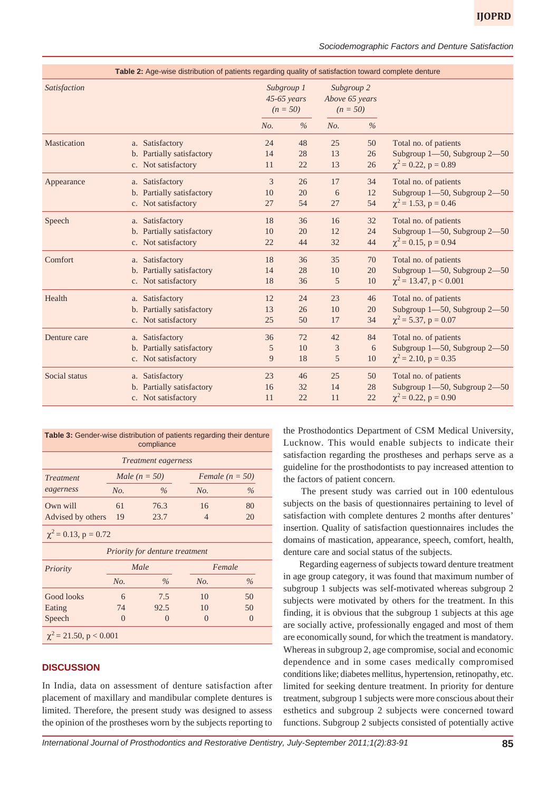*Sociodemographic Factors and Denture Satisfaction*

|                     | Table 2: Age-wise distribution of patients regarding quality of satisfaction toward complete denture |            |                             |                                            |               |                                       |
|---------------------|------------------------------------------------------------------------------------------------------|------------|-----------------------------|--------------------------------------------|---------------|---------------------------------------|
| <b>Satisfaction</b> |                                                                                                      | Subgroup 1 | $45-65$ years<br>$(n = 50)$ | Subgroup 2<br>Above 65 years<br>$(n = 50)$ |               |                                       |
|                     |                                                                                                      | No.        | $\frac{0}{0}$               | No.                                        | $\frac{0}{0}$ |                                       |
| Mastication         | a. Satisfactory                                                                                      | 24         | 48                          | 25                                         | 50            | Total no. of patients                 |
|                     | b. Partially satisfactory                                                                            | 14         | 28                          | 13                                         | 26            | Subgroup 1-50, Subgroup 2-50          |
|                     | c. Not satisfactory                                                                                  | 11         | 22                          | 13                                         | 26            | $\chi^2$ = 0.22, p = 0.89             |
| Appearance          | a. Satisfactory                                                                                      | 3          | 26                          | 17                                         | 34            | Total no. of patients                 |
|                     | b. Partially satisfactory                                                                            | 10         | 20                          | 6                                          | 12            | Subgroup $1 - 50$ , Subgroup $2 - 50$ |
|                     | c. Not satisfactory                                                                                  | 27         | 54                          | 27                                         | 54            | $\chi^2$ = 1.53, p = 0.46             |
| Speech              | a. Satisfactory                                                                                      | 18         | 36                          | 16                                         | 32            | Total no. of patients                 |
|                     | b. Partially satisfactory                                                                            | 10         | 20                          | 12                                         | 24            | Subgroup 1-50, Subgroup 2-50          |
|                     | c. Not satisfactory                                                                                  | 22         | 44                          | 32                                         | 44            | $\chi^2$ = 0.15, p = 0.94             |
| Comfort             | a. Satisfactory                                                                                      | 18         | 36                          | 35                                         | 70            | Total no. of patients                 |
|                     | b. Partially satisfactory                                                                            | 14         | 28                          | 10                                         | 20            | Subgroup 1-50, Subgroup 2-50          |
|                     | c. Not satisfactory                                                                                  | 18         | 36                          | 5                                          | 10            | $\chi^2$ = 13.47, p < 0.001           |
| Health              | a. Satisfactory                                                                                      | 12         | 24                          | 23                                         | 46            | Total no. of patients                 |
|                     | b. Partially satisfactory                                                                            | 13         | 26                          | 10                                         | 20            | Subgroup 1-50, Subgroup 2-50          |
|                     | c. Not satisfactory                                                                                  | 25         | 50                          | 17                                         | 34            | $\chi^2$ = 5.37, p = 0.07             |
| Denture care        | a. Satisfactory                                                                                      | 36         | 72                          | 42                                         | 84            | Total no. of patients                 |
|                     | b. Partially satisfactory                                                                            | 5          | 10                          | 3                                          | 6             | Subgroup 1-50, Subgroup 2-50          |
|                     | c. Not satisfactory                                                                                  | 9          | 18                          | 5                                          | 10            | $\chi^2$ = 2.10, p = 0.35             |
| Social status       | a. Satisfactory                                                                                      | 23         | 46                          | 25                                         | 50            | Total no. of patients                 |
|                     | b. Partially satisfactory                                                                            | 16         | 32                          | 14                                         | 28            | Subgroup 1-50, Subgroup 2-50          |
|                     | c. Not satisfactory                                                                                  | 11         | 22                          | 11                                         | 22            | $\chi^2$ = 0.22, p = 0.90             |

| <b>Table 3:</b> Gender-wise distribution of patients regarding their denture<br>compliance |     |                            |                |                   |  |  |  |  |  |
|--------------------------------------------------------------------------------------------|-----|----------------------------|----------------|-------------------|--|--|--|--|--|
|                                                                                            |     | <i>Treatment eagerness</i> |                |                   |  |  |  |  |  |
| <i>Treatment</i>                                                                           |     | Male $(n = 50)$            |                | Female $(n = 50)$ |  |  |  |  |  |
| eagerness                                                                                  | No. | $\%$                       | No.            | $\%$              |  |  |  |  |  |
| Own will                                                                                   | 61  | 76.3                       | 16             | 80                |  |  |  |  |  |
| Advised by others                                                                          | 19  | 23.7                       | $\overline{4}$ | 20                |  |  |  |  |  |
| $\chi^2$ = 0.13, p = 0.72                                                                  |     |                            |                |                   |  |  |  |  |  |
| <i>Priority for denture treatment</i>                                                      |     |                            |                |                   |  |  |  |  |  |
| Priority                                                                                   |     | Male                       | Female         |                   |  |  |  |  |  |
|                                                                                            | No. | $\%$                       | No.            | $\frac{0}{0}$     |  |  |  |  |  |
| Good looks                                                                                 | 6   | 7.5                        | 10             | 50                |  |  |  |  |  |
| Eating                                                                                     | 74  | 92.5                       | 10             | 50                |  |  |  |  |  |
| Speech                                                                                     | 0   | $\Omega$                   | $\Omega$       | $\theta$          |  |  |  |  |  |
| $\chi^2$ = 21.50, p < 0.001                                                                |     |                            |                |                   |  |  |  |  |  |

## **DISCUSSION**

In India, data on assessment of denture satisfaction after placement of maxillary and mandibular complete dentures is limited. Therefore, the present study was designed to assess the opinion of the prostheses worn by the subjects reporting to the Prosthodontics Department of CSM Medical University, Lucknow. This would enable subjects to indicate their satisfaction regarding the prostheses and perhaps serve as a guideline for the prosthodontists to pay increased attention to the factors of patient concern.

 The present study was carried out in 100 edentulous subjects on the basis of questionnaires pertaining to level of satisfaction with complete dentures 2 months after dentures' insertion. Quality of satisfaction questionnaires includes the domains of mastication, appearance, speech, comfort, health, denture care and social status of the subjects.

 Regarding eagerness of subjects toward denture treatment in age group category, it was found that maximum number of subgroup 1 subjects was self-motivated whereas subgroup 2 subjects were motivated by others for the treatment. In this finding, it is obvious that the subgroup 1 subjects at this age are socially active, professionally engaged and most of them are economically sound, for which the treatment is mandatory. Whereas in subgroup 2, age compromise, social and economic dependence and in some cases medically compromised conditions like; diabetes mellitus, hypertension, retinopathy, etc. limited for seeking denture treatment. In priority for denture treatment, subgroup 1 subjects were more conscious about their esthetics and subgroup 2 subjects were concerned toward functions. Subgroup 2 subjects consisted of potentially active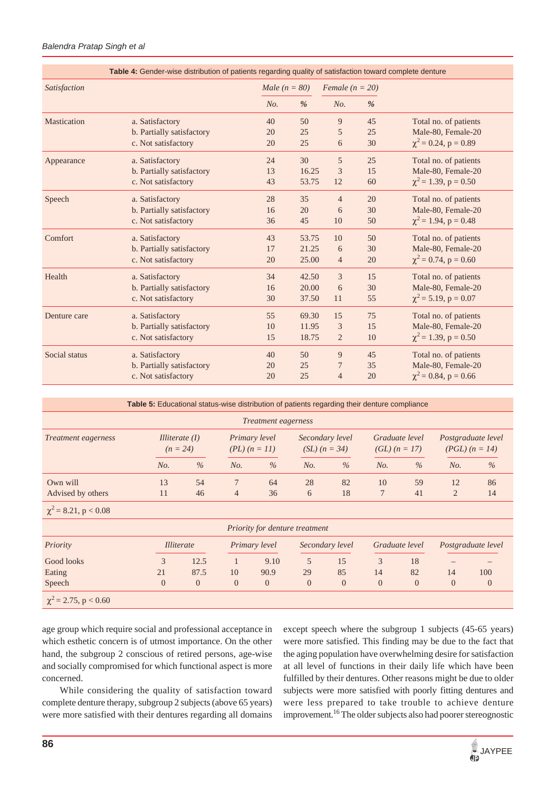#### *Balendra Pratap Singh et al*

|               | Table 4: Gender-wise distribution of patients regarding quality of satisfaction toward complete denture |                 |       |                     |    |                           |
|---------------|---------------------------------------------------------------------------------------------------------|-----------------|-------|---------------------|----|---------------------------|
| Satisfaction  |                                                                                                         | Male $(n = 80)$ |       | Female ( $n = 20$ ) |    |                           |
|               |                                                                                                         | No.             | %     | No.                 | %  |                           |
| Mastication   | a. Satisfactory                                                                                         | 40              | 50    | 9                   | 45 | Total no. of patients     |
|               | b. Partially satisfactory                                                                               | 20              | 25    | 5                   | 25 | Male-80, Female-20        |
|               | c. Not satisfactory                                                                                     | 20              | 25    | 6                   | 30 | $\chi^2$ = 0.24, p = 0.89 |
| Appearance    | a. Satisfactory                                                                                         | 24              | 30    | 5                   | 25 | Total no. of patients     |
|               | b. Partially satisfactory                                                                               | 13              | 16.25 | 3                   | 15 | Male-80, Female-20        |
|               | c. Not satisfactory                                                                                     | 43              | 53.75 | 12                  | 60 | $\chi^2$ = 1.39, p = 0.50 |
| Speech        | a. Satisfactory                                                                                         | 28              | 35    | $\overline{4}$      | 20 | Total no. of patients     |
|               | b. Partially satisfactory                                                                               | 16              | 20    | 6                   | 30 | Male-80, Female-20        |
|               | c. Not satisfactory                                                                                     | 36              | 45    | 10                  | 50 | $\chi^2$ = 1.94, p = 0.48 |
| Comfort       | a. Satisfactory                                                                                         | 43              | 53.75 | 10                  | 50 | Total no. of patients     |
|               | b. Partially satisfactory                                                                               | 17              | 21.25 | 6                   | 30 | Male-80, Female-20        |
|               | c. Not satisfactory                                                                                     | 20              | 25.00 | $\overline{4}$      | 20 | $\chi^2$ = 0.74, p = 0.60 |
| Health        | a. Satisfactory                                                                                         | 34              | 42.50 | 3                   | 15 | Total no. of patients     |
|               | b. Partially satisfactory                                                                               | 16              | 20.00 | 6                   | 30 | Male-80, Female-20        |
|               | c. Not satisfactory                                                                                     | 30              | 37.50 | 11                  | 55 | $\chi^2$ = 5.19, p = 0.07 |
| Denture care  | a. Satisfactory                                                                                         | 55              | 69.30 | 15                  | 75 | Total no. of patients     |
|               | b. Partially satisfactory                                                                               | 10              | 11.95 | 3                   | 15 | Male-80, Female-20        |
|               | c. Not satisfactory                                                                                     | 15              | 18.75 | $\overline{2}$      | 10 | $\chi^2$ = 1.39, p = 0.50 |
| Social status | a. Satisfactory                                                                                         | 40              | 50    | 9                   | 45 | Total no. of patients     |
|               | b. Partially satisfactory                                                                               | 20              | 25    | 7                   | 35 | Male-80, Female-20        |
|               | c. Not satisfactory                                                                                     | 20              | 25    | $\overline{4}$      | 20 | $\chi^2$ = 0.84, p = 0.66 |

|                            | <b>Table 5:</b> Educational status-wise distribution of patients regarding their denture compliance |                                       |                |                                    |          |                                      |          |                                   |                |                                          |
|----------------------------|-----------------------------------------------------------------------------------------------------|---------------------------------------|----------------|------------------------------------|----------|--------------------------------------|----------|-----------------------------------|----------------|------------------------------------------|
|                            |                                                                                                     |                                       |                | <i>Treatment eagerness</i>         |          |                                      |          |                                   |                |                                          |
| <i>Treatment eagerness</i> |                                                                                                     | <i>Illiterate</i> $(I)$<br>$(n = 24)$ |                | Primary level<br>$(PL)$ $(n = 11)$ |          | Secondary level<br>$(SL)$ $(n = 34)$ |          | Graduate level<br>$(GL) (n = 17)$ |                | Postgraduate level<br>$(PGL)$ $(n = 14)$ |
|                            | No.                                                                                                 | $\%$                                  | No.            | $\%$                               | No.      | $\%$                                 | No.      | $\%$                              | No.            | $\%$                                     |
| Own will                   | 13                                                                                                  | 54                                    | 7              | 64                                 | 28       | 82                                   | 10       | 59                                | 12             | 86                                       |
| Advised by others          | 11                                                                                                  | 46                                    | $\overline{4}$ | 36                                 | 6        | 18                                   | 7        | 41                                | $\overline{2}$ | 14                                       |
| $\chi^2$ = 8.21, p < 0.08  |                                                                                                     |                                       |                |                                    |          |                                      |          |                                   |                |                                          |
|                            |                                                                                                     |                                       |                | Priority for denture treatment     |          |                                      |          |                                   |                |                                          |
| Priority                   |                                                                                                     | <i>Illiterate</i>                     |                | Primary level                      |          | Secondary level                      |          | Graduate level                    |                | Postgraduate level                       |
| Good looks                 | 3                                                                                                   | 12.5                                  | $\mathbf{1}$   | 9.10                               | 5        | 15                                   | 3        | 18                                |                |                                          |
| Eating                     | 21                                                                                                  | 87.5                                  | 10             | 90.9                               | 29       | 85                                   | 14       | 82                                | 14             | 100                                      |
| Speech                     | $\overline{0}$                                                                                      | $\overline{0}$                        | $\overline{0}$ | $\theta$                           | $\theta$ | $\overline{0}$                       | $\theta$ | $\theta$                          | $\theta$       | $\theta$                                 |
| $\chi^2$ = 2.75, p < 0.60  |                                                                                                     |                                       |                |                                    |          |                                      |          |                                   |                |                                          |

age group which require social and professional acceptance in which esthetic concern is of utmost importance. On the other hand, the subgroup 2 conscious of retired persons, age-wise and socially compromised for which functional aspect is more concerned.

 While considering the quality of satisfaction toward complete denture therapy, subgroup 2 subjects (above 65 years) were more satisfied with their dentures regarding all domains except speech where the subgroup 1 subjects (45-65 years) were more satisfied. This finding may be due to the fact that the aging population have overwhelming desire for satisfaction at all level of functions in their daily life which have been fulfilled by their dentures. Other reasons might be due to older subjects were more satisfied with poorly fitting dentures and were less prepared to take trouble to achieve denture improvement.16 The older subjects also had poorer stereognostic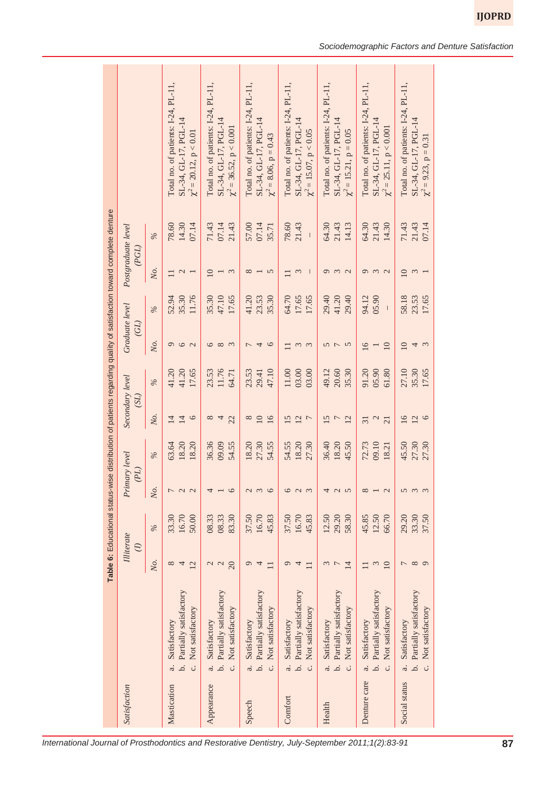|               |                                    |                              |               |                                               |       |                         |       |                        |       |                             | Table 6: Educational status-wise distribution of patients regarding quality of satisfaction toward complete denture |                                     |
|---------------|------------------------------------|------------------------------|---------------|-----------------------------------------------|-------|-------------------------|-------|------------------------|-------|-----------------------------|---------------------------------------------------------------------------------------------------------------------|-------------------------------------|
| Satisfaction  |                                    | Illiterate<br>$\overline{c}$ |               | Primary level<br>(2P)                         |       | Secondary level<br>(SL) |       | Graduate level<br>(GL) |       | Postgraduate level<br>(PGL) |                                                                                                                     |                                     |
|               |                                    | No.                          | $\frac{9}{6}$ | No.                                           | $\%$  | No.                     | $\%$  | No.                    | $\%$  | Ņо.                         | $\%$                                                                                                                |                                     |
| Mastication   | Satisfactory<br>a.                 | $\infty$                     | 33.30         | 7                                             | 63.64 | $\overline{14}$         | 41.20 | $\sigma$               | 52.94 | $\Box$                      | 78.60                                                                                                               | Total no. of patients: I-24, PL-11, |
|               | Partially satisfactory<br>نم       | 4                            | 16.70         | $\begin{array}{c} 2 & 1 \\ 1 & 1 \end{array}$ | 18.20 | 14                      | 41.20 | $\circ$                | 35.30 | $\mathcal{L}$               | 14.30                                                                                                               | SL-34, GL-17, PGL-14                |
|               | Not satisfactory<br>c.             | 12                           | 50.00         |                                               | 18.20 | $\circ$                 | 17.65 | $\sim$                 | 11.76 |                             | 07.14                                                                                                               | $\chi^2$ = 20.12, p < 0.01          |
| Appearance    | Satisfactory<br>$\ddot{a}$         | $\mathbf{C}$                 | 08.33         | 4                                             | 36.36 | $8^{\circ}$             | 23.53 | $\circ$                | 35.30 | 10                          | 71.43                                                                                                               | Total no. of patients: I-24, PL-11. |
|               | Partially satisfactory<br>.<br>م   | $\mathcal{L}$                | 08.33         |                                               | 09.09 | 4                       | 11.76 | $\infty$               | 47.10 |                             | 07.14                                                                                                               | SL-34, GL-17, PGL-14                |
|               | Not satisfactory<br>c.             | 20                           | 83.30         | $\circ$                                       | 54.55 | 22                      | 64.71 | $\epsilon$             | 17.65 | $\mathfrak{g}$              | 21.43                                                                                                               | $\chi^2 = 36.52$ , $p < 0.001$      |
| Speech        | Satisfactory<br>a.                 | $\circ$                      | 37.50         | $\mathcal{L}$                                 | 18.20 | $\infty$                | 23.53 |                        | 41.20 | $\infty$                    | 57.00                                                                                                               | Total no. of patients: I-24, PL-11, |
|               | b. Partially satisfactory          | 4                            | 16.70         | $\tilde{\epsilon}$                            | 27.30 | $\overline{10}$         | 29.41 | $\overline{4}$         | 23.53 |                             | 07.14                                                                                                               | SL-34, GL-17, PGL-14                |
|               | Not satisfactory<br>c.             | $\Box$                       | 45.83         | $\circ$                                       | 54.55 | 16                      | 47.10 | $\circ$                | 35.30 | $\sqrt{2}$                  | 35.71                                                                                                               | $\chi^2 = 8.06, p = 0.43$           |
| Comfort       | Satisfactory<br>$\ddot{a}$         | $\sigma$                     | 37.50         | 6                                             | 54.55 | 15                      | 11.00 | $\equiv$               | 64.70 | $\Box$                      | 78.60                                                                                                               | Total no. of patients: I-24, PL-11, |
|               | Partially satisfactory<br>.<br>م   | 4                            | 16.70         | $\mathbf{C}$                                  | 18.20 | 12                      | 03.00 | $\epsilon$             | 17.65 | $\mathfrak{c}$              | 21.43                                                                                                               | SL-34, GL-17, PGL-14                |
|               | Not satisfactory<br>c.             | $\Box$                       | 45.83         | $\epsilon$                                    | 27.30 | $\overline{ }$          | 03.00 | $\epsilon$             | 17.65 |                             | $\begin{array}{c} \hline \end{array}$                                                                               | $\chi^2 = 15.07, p < 0.05$          |
| Health        | Satisfactory<br>a.                 | 3                            | 12.50         | 4                                             | 36.40 | 15                      | 49.12 | $\sigma$               | 29.40 | $\sigma$                    | 64.30                                                                                                               | Total no. of patients: I-24, PL-11, |
|               | Partially satisfactory<br>.<br>م   |                              | 29.20         | $\mathbf{C}$                                  | 18.20 | $\overline{ }$          | 20.60 | $\overline{ }$         | 41.20 | $m$ $\alpha$                | 21.43                                                                                                               | SL-34, GL-17, PGL-14                |
|               | Not satisfactory<br>c.             | $\overline{14}$              | 58.30         | $\sqrt{2}$                                    | 45.50 | 12                      | 35.30 | $\overline{5}$         | 29.40 |                             | 14.13                                                                                                               | $\chi^2 = 15.21, p = 0.05$          |
| Denture care  | Satisfactory<br>a.                 |                              | 45.85         | $\infty$                                      | 72.73 | $\overline{31}$         | 91.20 | $\overline{16}$        | 94.12 | $\sigma$                    | 64.30                                                                                                               | Total no. of patients: I-24, PL-11, |
|               | Partially satisfactory<br>.<br>م   | $\epsilon$                   | 12.50         |                                               | 09.10 | 2                       | 05.90 |                        | 05.90 | $\epsilon$                  | 21.43                                                                                                               | SL-34, GL-17, PGL-14                |
|               | Not satisfactory<br>c.             | $\overline{10}$              | 66.70         | $\mathbf{C}$                                  | 18.21 | $\overline{21}$         | 61.80 | $\overline{10}$        |       | $\sim$                      | 14.30                                                                                                               | $\chi^2 = 25.11$ , $p < 0.001$      |
| Social status | Satisfactory<br>a.                 | 7                            | 29.20         | 5                                             | 45.50 | $\overline{16}$         | 27.10 | $\overline{10}$        | 58.18 | $\overline{10}$             | 71.43                                                                                                               | Total no. of patients: I-24, PL-11, |
|               | Partially satisfactory<br>.<br>م   | $\infty$                     | 33.30         | $\tilde{3}$                                   | 27.30 | 12                      | 35.30 | 4                      | 23.53 | 3                           | 21.43                                                                                                               | SL-34, GL-17, PGL-14                |
|               | Not satisfactory<br>$\ddot{\circ}$ | $\sigma$                     | 37.50         | $\epsilon$                                    | 27.30 | $\circ$                 | 17.65 | $\tilde{3}$            | 17.65 |                             | 07.14                                                                                                               | $\chi^2 = 9.23$ , p = 0.31          |

**IJOPRD**

*International Journal of Prosthodontics and Restorative Dentistry, July-September 2011;1(2):83-91* **87**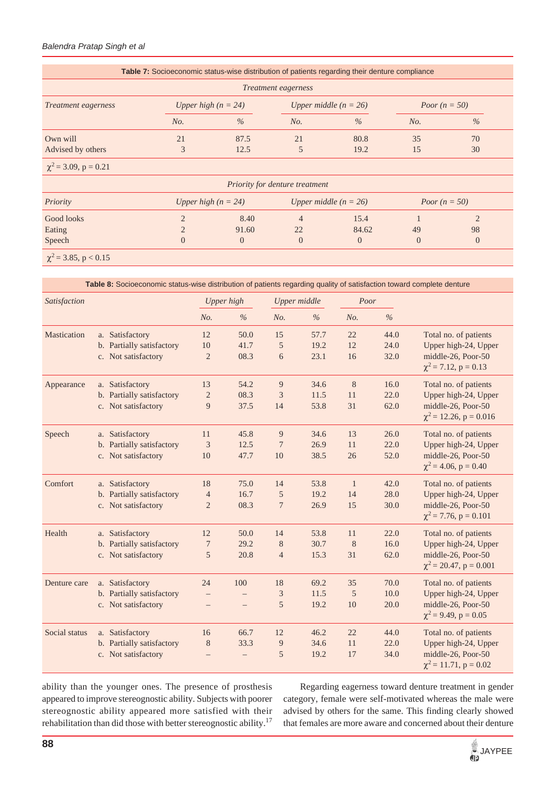### *Balendra Pratap Singh et al*

|                            | <b>Table 7:</b> Socioeconomic status-wise distribution of patients regarding their denture compliance |                       |                                |                         |                 |                |
|----------------------------|-------------------------------------------------------------------------------------------------------|-----------------------|--------------------------------|-------------------------|-----------------|----------------|
|                            |                                                                                                       |                       | <i>Treatment eagerness</i>     |                         |                 |                |
| <i>Treatment eagerness</i> |                                                                                                       | Upper high $(n = 24)$ |                                | Upper middle $(n = 26)$ | Poor $(n = 50)$ |                |
|                            | No.                                                                                                   | $\%$                  | No.                            | $\%$                    | No.             | $\%$           |
| Own will                   | 21                                                                                                    | 87.5                  | 21                             | 80.8                    | 35              | 70             |
| Advised by others          | 3                                                                                                     | 12.5                  | 5                              | 19.2                    | 15              | 30             |
| $\chi^2$ = 3.09, p = 0.21  |                                                                                                       |                       |                                |                         |                 |                |
|                            |                                                                                                       |                       | Priority for denture treatment |                         |                 |                |
| Priority                   |                                                                                                       | Upper high $(n = 24)$ |                                | Upper middle $(n = 26)$ | Poor $(n = 50)$ |                |
| Good looks                 |                                                                                                       | 8.40                  | 4                              | 15.4                    |                 |                |
| Eating                     |                                                                                                       | 91.60                 | 22                             | 84.62                   | 49              | 98             |
| Speech                     | $\overline{0}$                                                                                        | $\Omega$              | $\theta$                       | $\overline{0}$          | $\Omega$        | $\overline{0}$ |

|               | Table 8: Socioeconomic status-wise distribution of patients regarding quality of satisfaction toward complete denture |                   |                   |                             |                     |              |      |                                                   |
|---------------|-----------------------------------------------------------------------------------------------------------------------|-------------------|-------------------|-----------------------------|---------------------|--------------|------|---------------------------------------------------|
| Satisfaction  |                                                                                                                       |                   | Upper high        |                             | <b>Upper</b> middle | Poor         |      |                                                   |
|               |                                                                                                                       | No.               | $\%$              | No.                         | $\%$                | No.          | $\%$ |                                                   |
| Mastication   | a. Satisfactory                                                                                                       | 12                | 50.0              | 15                          | 57.7                | 22           | 44.0 | Total no. of patients                             |
|               | b. Partially satisfactory                                                                                             | 10                | 41.7              | $\sqrt{5}$                  | 19.2                | 12           | 24.0 | Upper high-24, Upper                              |
|               | c. Not satisfactory                                                                                                   | $\overline{2}$    | 08.3              | 6                           | 23.1                | 16           | 32.0 | middle-26, Poor-50<br>$\chi^2$ = 7.12, p = 0.13   |
| Appearance    | a. Satisfactory                                                                                                       | 13                | 54.2              | 9                           | 34.6                | 8            | 16.0 | Total no. of patients                             |
|               | b. Partially satisfactory                                                                                             | $\overline{c}$    | 08.3              | 3                           | 11.5                | 11           | 22.0 | Upper high-24, Upper                              |
|               | c. Not satisfactory                                                                                                   | $\overline{9}$    | 37.5              | 14                          | 53.8                | 31           | 62.0 | middle-26, Poor-50<br>$\chi^2$ = 12.26, p = 0.016 |
| Speech        | a. Satisfactory                                                                                                       | 11                | 45.8              | 9                           | 34.6                | 13           | 26.0 | Total no. of patients                             |
|               | b. Partially satisfactory                                                                                             | 3                 | 12.5              | 7                           | 26.9                | 11           | 22.0 | Upper high-24, Upper                              |
|               | c. Not satisfactory                                                                                                   | 10                | 47.7              | 10                          | 38.5                | 26           | 52.0 | middle-26, Poor-50                                |
|               |                                                                                                                       |                   |                   |                             |                     |              |      | $\chi^2$ = 4.06, p = 0.40                         |
| Comfort       | a. Satisfactory                                                                                                       | 18                | 75.0              | 14                          | 53.8                | $\mathbf{1}$ | 42.0 | Total no. of patients                             |
|               | b. Partially satisfactory                                                                                             | $\overline{4}$    | 16.7              | 5                           | 19.2                | 14           | 28.0 | Upper high-24, Upper                              |
|               | c. Not satisfactory                                                                                                   | $\overline{2}$    | 08.3              | $\overline{7}$              | 26.9                | 15           | 30.0 | middle-26, Poor-50<br>$\chi^2$ = 7.76, p = 0.101  |
| Health        | a. Satisfactory                                                                                                       | $12\,$            | 50.0              | 14                          | 53.8                | 11           | 22.0 | Total no. of patients                             |
|               | b. Partially satisfactory                                                                                             | 7                 | 29.2              | $8\phantom{1}$              | 30.7                | 8            | 16.0 | Upper high-24, Upper                              |
|               | c. Not satisfactory                                                                                                   | 5                 | 20.8              | $\overline{4}$              | 15.3                | 31           | 62.0 | middle-26, Poor-50                                |
|               |                                                                                                                       |                   |                   |                             |                     |              |      | $\chi^2$ = 20.47, p = 0.001                       |
| Denture care  | a. Satisfactory                                                                                                       | 24                | 100               | 18                          | 69.2                | 35           | 70.0 | Total no. of patients                             |
|               | b. Partially satisfactory                                                                                             | $\qquad \qquad -$ | $\qquad \qquad -$ | $\ensuremath{\mathfrak{Z}}$ | 11.5                | 5            | 10.0 | Upper high-24, Upper                              |
|               | c. Not satisfactory                                                                                                   | $\qquad \qquad -$ | $\qquad \qquad -$ | 5                           | 19.2                | 10           | 20.0 | middle-26, Poor-50<br>$\chi^2$ = 9.49, p = 0.05   |
| Social status | a. Satisfactory                                                                                                       | 16                | 66.7              | 12                          | 46.2                | 22           | 44.0 | Total no. of patients                             |
|               | b. Partially satisfactory                                                                                             | 8                 | 33.3              | 9                           | 34.6                | 11           | 22.0 | Upper high-24, Upper                              |
|               | c. Not satisfactory                                                                                                   | $\equiv$          |                   | 5                           | 19.2                | 17           | 34.0 | middle-26, Poor-50<br>$\chi^2$ = 11.71, p = 0.02  |

ability than the younger ones. The presence of prosthesis appeared to improve stereognostic ability. Subjects with poorer stereognostic ability appeared more satisfied with their rehabilitation than did those with better stereognostic ability.17

 Regarding eagerness toward denture treatment in gender category, female were self-motivated whereas the male were advised by others for the same. This finding clearly showed that females are more aware and concerned about their denture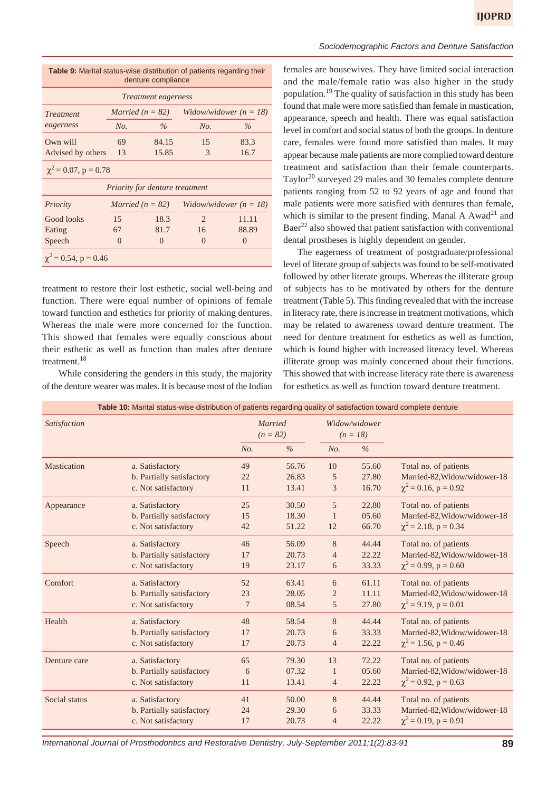| <b>Table 9:</b> Marital status-wise distribution of patients regarding their<br>denture compliance |                                       |                             |                               |                          |  |  |  |  |  |
|----------------------------------------------------------------------------------------------------|---------------------------------------|-----------------------------|-------------------------------|--------------------------|--|--|--|--|--|
|                                                                                                    |                                       | <i>Treatment eagerness</i>  |                               |                          |  |  |  |  |  |
| <i>Treatment</i>                                                                                   |                                       | <i>Married</i> ( $n = 82$ ) |                               | Widow/widower $(n = 18)$ |  |  |  |  |  |
| eagerness                                                                                          | No.                                   | $\%$                        | No.                           | $\frac{0}{6}$            |  |  |  |  |  |
| Own will                                                                                           | 69                                    | 84.15                       | 15                            | 83.3                     |  |  |  |  |  |
| Advised by others                                                                                  | 13                                    | 15.85                       | $\mathcal{R}$                 | 16.7                     |  |  |  |  |  |
| $\chi^2$ = 0.07, p = 0.78                                                                          |                                       |                             |                               |                          |  |  |  |  |  |
|                                                                                                    | <i>Priority for denture treatment</i> |                             |                               |                          |  |  |  |  |  |
| Priority                                                                                           |                                       | <i>Married</i> ( $n = 82$ ) |                               | Widow/widower $(n = 18)$ |  |  |  |  |  |
| Good looks                                                                                         | 15                                    | 18.3                        | $\mathfrak{D}_{\mathfrak{p}}$ | 11.11                    |  |  |  |  |  |
| Eating                                                                                             | 67                                    | 81.7                        | 16                            | 88.89                    |  |  |  |  |  |
| Speech                                                                                             | $\left( \right)$                      | $\mathcal{L}$               | $\left( \right)$              | $\left($                 |  |  |  |  |  |
| $\chi^2$ = 0.54, p = 0.46                                                                          |                                       |                             |                               |                          |  |  |  |  |  |

treatment to restore their lost esthetic, social well-being and function. There were equal number of opinions of female toward function and esthetics for priority of making dentures. Whereas the male were more concerned for the function. This showed that females were equally conscious about their esthetic as well as function than males after denture treatment.<sup>18</sup>

 While considering the genders in this study, the majority of the denture wearer was males. It is because most of the Indian

females are housewives. They have limited social interaction and the male/female ratio was also higher in the study population.19 The quality of satisfaction in this study has been found that male were more satisfied than female in mastication, appearance, speech and health. There was equal satisfaction level in comfort and social status of both the groups. In denture care, females were found more satisfied than males. It may appear because male patients are more complied toward denture treatment and satisfaction than their female counterparts. Taylor<sup>20</sup> surveyed 29 males and 30 females complete denture patients ranging from 52 to 92 years of age and found that male patients were more satisfied with dentures than female, which is similar to the present finding. Manal A Awad<sup>21</sup> and Baer<sup>22</sup> also showed that patient satisfaction with conventional dental prostheses is highly dependent on gender.

The eagerness of treatment of postgraduate/professional level of literate group of subjects was found to be self-motivated followed by other literate groups. Whereas the illiterate group of subjects has to be motivated by others for the denture treatment (Table 5). This finding revealed that with the increase in literacy rate, there is increase in treatment motivations, which may be related to awareness toward denture treatment. The need for denture treatment for esthetics as well as function, which is found higher with increased literacy level. Whereas illiterate group was mainly concerned about their functions. This showed that with increase literacy rate there is awareness for esthetics as well as function toward denture treatment.

|               | Table 10: Marital status-wise distribution of patients regarding quality of satisfaction toward complete denture |     |                       |                |                             |                              |
|---------------|------------------------------------------------------------------------------------------------------------------|-----|-----------------------|----------------|-----------------------------|------------------------------|
| Satisfaction  |                                                                                                                  |     | Married<br>$(n = 82)$ |                | Widow/widower<br>$(n = 18)$ |                              |
|               |                                                                                                                  | No. | $\%$                  | No.            | $\frac{0}{0}$               |                              |
| Mastication   | a. Satisfactory                                                                                                  | 49  | 56.76                 | 10             | 55.60                       | Total no. of patients        |
|               | b. Partially satisfactory                                                                                        | 22  | 26.83                 | 5              | 27.80                       | Married-82, Widow/widower-18 |
|               | c. Not satisfactory                                                                                              | 11  | 13.41                 | 3              | 16.70                       | $\chi^2$ = 0.16, p = 0.92    |
| Appearance    | a. Satisfactory                                                                                                  | 25  | 30.50                 | 5              | 22.80                       | Total no. of patients        |
|               | b. Partially satisfactory                                                                                        | 15  | 18.30                 | $\mathbf{1}$   | 05.60                       | Married-82, Widow/widower-18 |
|               | c. Not satisfactory                                                                                              | 42  | 51.22                 | 12             | 66.70                       | $\chi^2$ = 2.18, p = 0.34    |
| Speech        | a. Satisfactory                                                                                                  | 46  | 56.09                 | 8              | 44.44                       | Total no. of patients        |
|               | b. Partially satisfactory                                                                                        | 17  | 20.73                 | $\overline{4}$ | 22.22                       | Married-82, Widow/widower-18 |
|               | c. Not satisfactory                                                                                              | 19  | 23.17                 | 6              | 33.33                       | $\chi^2$ = 0.99, p = 0.60    |
| Comfort       | a. Satisfactory                                                                                                  | 52  | 63.41                 | 6              | 61.11                       | Total no. of patients        |
|               | b. Partially satisfactory                                                                                        | 23  | 28.05                 | $\overline{2}$ | 11.11                       | Married-82, Widow/widower-18 |
|               | c. Not satisfactory                                                                                              | 7   | 08.54                 | 5              | 27.80                       | $\chi^2$ = 9.19, p = 0.01    |
| Health        | a. Satisfactory                                                                                                  | 48  | 58.54                 | 8              | 44.44                       | Total no. of patients        |
|               | b. Partially satisfactory                                                                                        | 17  | 20.73                 | 6              | 33.33                       | Married-82, Widow/widower-18 |
|               | c. Not satisfactory                                                                                              | 17  | 20.73                 | $\overline{4}$ | 22.22                       | $\chi^2$ = 1.56, p = 0.46    |
| Denture care  | a. Satisfactory                                                                                                  | 65  | 79.30                 | 13             | 72.22                       | Total no. of patients        |
|               | b. Partially satisfactory                                                                                        | 6   | 07.32                 | $\mathbf{1}$   | 05.60                       | Married-82, Widow/widower-18 |
|               | c. Not satisfactory                                                                                              | 11  | 13.41                 | $\overline{4}$ | 22.22                       | $\chi^2$ = 0.92, p = 0.63    |
| Social status | a. Satisfactory                                                                                                  | 41  | 50.00                 | 8              | 44.44                       | Total no. of patients        |
|               | b. Partially satisfactory                                                                                        | 24  | 29.30                 | 6              | 33.33                       | Married-82, Widow/widower-18 |
|               | c. Not satisfactory                                                                                              | 17  | 20.73                 | $\overline{4}$ | 22.22                       | $\chi^2$ = 0.19, p = 0.91    |

*Sociodemographic Factors and Denture Satisfaction*

*International Journal of Prosthodontics and Restorative Dentistry, July-September 2011;1(2):83-91* **89**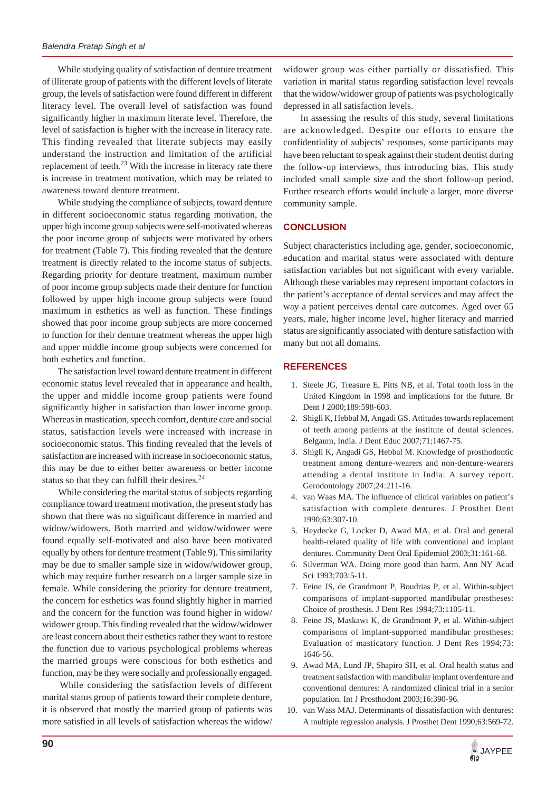While studying quality of satisfaction of denture treatment of illiterate group of patients with the different levels of literate group, the levels of satisfaction were found different in different literacy level. The overall level of satisfaction was found significantly higher in maximum literate level. Therefore, the level of satisfaction is higher with the increase in literacy rate. This finding revealed that literate subjects may easily understand the instruction and limitation of the artificial replacement of teeth. $^{23}$  With the increase in literacy rate there is increase in treatment motivation, which may be related to awareness toward denture treatment.

 While studying the compliance of subjects, toward denture in different socioeconomic status regarding motivation, the upper high income group subjects were self-motivated whereas the poor income group of subjects were motivated by others for treatment (Table 7). This finding revealed that the denture treatment is directly related to the income status of subjects. Regarding priority for denture treatment, maximum number of poor income group subjects made their denture for function followed by upper high income group subjects were found maximum in esthetics as well as function. These findings showed that poor income group subjects are more concerned to function for their denture treatment whereas the upper high and upper middle income group subjects were concerned for both esthetics and function.

 The satisfaction level toward denture treatment in different economic status level revealed that in appearance and health, the upper and middle income group patients were found significantly higher in satisfaction than lower income group. Whereas in mastication, speech comfort, denture care and social status, satisfaction levels were increased with increase in socioeconomic status. This finding revealed that the levels of satisfaction are increased with increase in socioeconomic status, this may be due to either better awareness or better income status so that they can fulfill their desires.<sup>24</sup>

 While considering the marital status of subjects regarding compliance toward treatment motivation, the present study has shown that there was no significant difference in married and widow/widowers. Both married and widow/widower were found equally self-motivated and also have been motivated equally by others for denture treatment (Table 9). This similarity may be due to smaller sample size in widow/widower group, which may require further research on a larger sample size in female. While considering the priority for denture treatment, the concern for esthetics was found slightly higher in married and the concern for the function was found higher in widow/ widower group. This finding revealed that the widow/widower are least concern about their esthetics rather they want to restore the function due to various psychological problems whereas the married groups were conscious for both esthetics and function, may be they were socially and professionally engaged.

 While considering the satisfaction levels of different marital status group of patients toward their complete denture, it is observed that mostly the married group of patients was more satisfied in all levels of satisfaction whereas the widow/ widower group was either partially or dissatisfied. This variation in marital status regarding satisfaction level reveals that the widow/widower group of patients was psychologically depressed in all satisfaction levels.

 In assessing the results of this study, several limitations are acknowledged. Despite our efforts to ensure the confidentiality of subjects' responses, some participants may have been reluctant to speak against their student dentist during the follow-up interviews, thus introducing bias. This study included small sample size and the short follow-up period. Further research efforts would include a larger, more diverse community sample.

#### **CONCLUSION**

Subject characteristics including age, gender, socioeconomic, education and marital status were associated with denture satisfaction variables but not significant with every variable. Although these variables may represent important cofactors in the patient's acceptance of dental services and may affect the way a patient perceives dental care outcomes. Aged over 65 years, male, higher income level, higher literacy and married status are significantly associated with denture satisfaction with many but not all domains.

### **REFERENCES**

- 1. Steele JG, Treasure E, Pitts NB, et al. Total tooth loss in the United Kingdom in 1998 and implications for the future. Br Dent J 2000;189:598-603.
- 2. Shigli K, Hebbal M, Angadi GS. Attitudes towards replacement of teeth among patients at the institute of dental sciences. Belgaum, India. J Dent Educ 2007;71:1467-75.
- 3. Shigli K, Angadi GS, Hebbal M. Knowledge of prosthodontic treatment among denture-wearers and non-denture-wearers attending a dental institute in India: A survey report. Gerodontology 2007;24:211-16.
- 4. van Waas MA. The influence of clinical variables on patient's satisfaction with complete dentures. J Prosthet Dent 1990;63:307-10.
- 5. Heydecke G, Locker D, Awad MA, et al. Oral and general health-related quality of life with conventional and implant dentures. Community Dent Oral Epidemiol 2003;31:161-68.
- 6. Silverman WA. Doing more good than harm. Ann NY Acad Sci 1993;703:5-11.
- 7. Feine JS, de Grandmont P, Boudrias P, et al. Within-subject comparisons of implant-supported mandibular prostheses: Choice of prosthesis. J Dent Res 1994;73:1105-11.
- 8. Feine JS, Maskawi K, de Grandmont P, et al. Within-subject comparisons of implant-supported mandibular prostheses: Evaluation of masticatory function. J Dent Res 1994;73: 1646-56.
- 9. Awad MA, Lund JP, Shapiro SH, et al. Oral health status and treatment satisfaction with mandibular implant overdenture and conventional dentures: A randomized clinical trial in a senior population. Int J Prosthodont 2003;16:390-96.
- 10. van Wass MAJ. Determinants of dissatisfaction with dentures: A multiple regression analysis. J Prosthet Dent 1990;63:569-72.